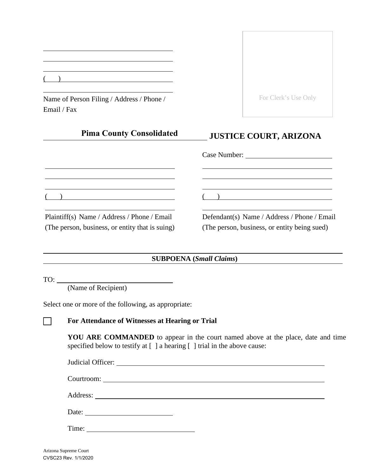Name of Person Filing / Address / Phone / Email / Fax

**Pima County Consolidated**

| For Clerk's Use Only |  |
|----------------------|--|
|                      |  |

# **JUSTICE COURT, ARIZONA**

|                                                 | Case Number:                                 |  |
|-------------------------------------------------|----------------------------------------------|--|
|                                                 |                                              |  |
|                                                 |                                              |  |
| Plaintiff(s) Name / Address / Phone / Email     | Defendant(s) Name / Address / Phone / Email  |  |
| (The person, business, or entity that is suing) | (The person, business, or entity being sued) |  |

**SUBPOENA (***Small Claims***)**

 $TO:$ 

(Name of Recipient)

Select one or more of the following, as appropriate:

# [ ] **For Attendance of Witnesses at Hearing or Trial**

**YOU ARE COMMANDED** to appear in the court named above at the place, date and time specified below to testify at [ ] a hearing [ ] trial in the above cause:

| Date: $\frac{1}{\sqrt{1-\frac{1}{2}} \cdot \frac{1}{2}}$ |  |
|----------------------------------------------------------|--|
| Time:                                                    |  |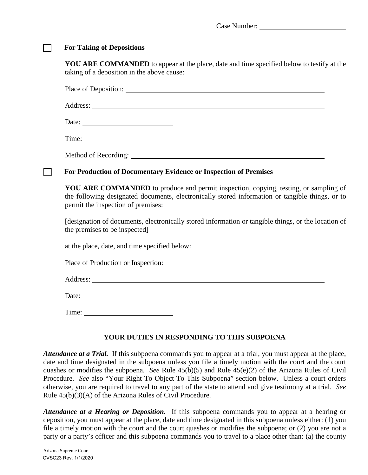Case Number:

#### [ ] **For Taking of Depositions**

**YOU ARE COMMANDED** to appear at the place, date and time specified below to testify at the taking of a deposition in the above cause:

Place of Deposition:

Address:

Date:

Method of Recording:

#### [ ] **For Production of Documentary Evidence or Inspection of Premises**

**YOU ARE COMMANDED** to produce and permit inspection, copying, testing, or sampling of the following designated documents, electronically stored information or tangible things, or to permit the inspection of premises:

[designation of documents, electronically stored information or tangible things, or the location of the premises to be inspected]

at the place, date, and time specified below:

Place of Production or Inspection:

Address: and the same state of the state of the state of the state of the state of the state of the state of the state of the state of the state of the state of the state of the state of the state of the state of the state

Date:

Time: The state of  $\overline{a}$  and  $\overline{b}$  and  $\overline{a}$  and  $\overline{a}$  and  $\overline{a}$  and  $\overline{a}$  and  $\overline{a}$  and  $\overline{a}$  and  $\overline{a}$  and  $\overline{a}$  and  $\overline{a}$  and  $\overline{a}$  and  $\overline{a}$  and  $\overline{a}$  and  $\overline{a}$  and  $\overline{a}$ 

# **YOUR DUTIES IN RESPONDING TO THIS SUBPOENA**

*Attendance at a Trial.* If this subpoena commands you to appear at a trial, you must appear at the place, date and time designated in the subpoena unless you file a timely motion with the court and the court quashes or modifies the subpoena. *See* Rule 45(b)(5) and Rule 45(e)(2) of the Arizona Rules of Civil Procedure. *See* also "Your Right To Object To This Subpoena" section below. Unless a court orders otherwise, you are required to travel to any part of the state to attend and give testimony at a trial. *See* Rule 45(b)(3)(A) of the Arizona Rules of Civil Procedure.

*Attendance at a Hearing or Deposition.* If this subpoena commands you to appear at a hearing or deposition, you must appear at the place, date and time designated in this subpoena unless either: (1) you file a timely motion with the court and the court quashes or modifies the subpoena; or (2) you are not a party or a party's officer and this subpoena commands you to travel to a place other than: (a) the county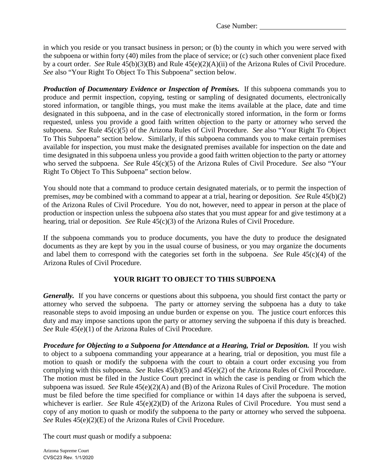Case Number:

in which you reside or you transact business in person; or (b) the county in which you were served with the subpoena or within forty (40) miles from the place of service; or (c) such other convenient place fixed by a court order. *See* Rule 45(b)(3)(B) and Rule 45(e)(2)(A)(ii) of the Arizona Rules of Civil Procedure. *See* also "Your Right To Object To This Subpoena" section below.

*Production of Documentary Evidence or Inspection of Premises.* If this subpoena commands you to produce and permit inspection, copying, testing or sampling of designated documents, electronically stored information, or tangible things, you must make the items available at the place, date and time designated in this subpoena, and in the case of electronically stored information, in the form or forms requested, unless you provide a good faith written objection to the party or attorney who served the subpoena. *See* Rule 45(c)(5) of the Arizona Rules of Civil Procedure. *See* also "Your Right To Object To This Subpoena" section below. Similarly, if this subpoena commands you to make certain premises available for inspection, you must make the designated premises available for inspection on the date and time designated in this subpoena unless you provide a good faith written objection to the party or attorney who served the subpoena. *See* Rule 45(c)(5) of the Arizona Rules of Civil Procedure. *See* also "Your Right To Object To This Subpoena" section below.

You should note that a command to produce certain designated materials, or to permit the inspection of premises, *may* be combined with a command to appear at a trial, hearing or deposition. *See* Rule 45(b)(2) of the Arizona Rules of Civil Procedure. You do not, however, need to appear in person at the place of production or inspection unless the subpoena *also* states that you must appear for and give testimony at a hearing, trial or deposition. *See* Rule 45(c)(3) of the Arizona Rules of Civil Procedure.

If the subpoena commands you to produce documents, you have the duty to produce the designated documents as they are kept by you in the usual course of business, or you may organize the documents and label them to correspond with the categories set forth in the subpoena. *See* Rule 45(c)(4) of the Arizona Rules of Civil Procedure.

# **YOUR RIGHT TO OBJECT TO THIS SUBPOENA**

*Generally.* If you have concerns or questions about this subpoena, you should first contact the party or attorney who served the subpoena. The party or attorney serving the subpoena has a duty to take reasonable steps to avoid imposing an undue burden or expense on you. The justice court enforces this duty and may impose sanctions upon the party or attorney serving the subpoena if this duty is breached. *See* Rule 45(e)(1) of the Arizona Rules of Civil Procedure.

*Procedure for Objecting to a Subpoena for Attendance at a Hearing, Trial or Deposition.* If you wish to object to a subpoena commanding your appearance at a hearing, trial or deposition, you must file a motion to quash or modify the subpoena with the court to obtain a court order excusing you from complying with this subpoena. *See* Rules 45(b)(5) and 45(e)(2) of the Arizona Rules of Civil Procedure. The motion must be filed in the Justice Court precinct in which the case is pending or from which the subpoena was issued. *See* Rule 45(e)(2)(A) and (B) of the Arizona Rules of Civil Procedure. The motion must be filed before the time specified for compliance or within 14 days after the subpoena is served, whichever is earlier. *See* Rule 45(e)(2)(D) of the Arizona Rules of Civil Procedure. You must send a copy of any motion to quash or modify the subpoena to the party or attorney who served the subpoena. *See* Rules 45(e)(2)(E) of the Arizona Rules of Civil Procedure.

The court *must* quash or modify a subpoena: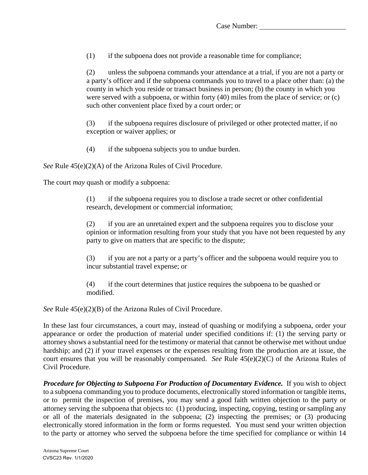(1) if the subpoena does not provide a reasonable time for compliance;

(2) unless the subpoena commands your attendance at a trial, if you are not a party or a party's officer and if the subpoena commands you to travel to a place other than: (a) the county in which you reside or transact business in person; (b) the county in which you were served with a subpoena, or within forty (40) miles from the place of service; or (c) such other convenient place fixed by a court order; or

(3) if the subpoena requires disclosure of privileged or other protected matter, if no exception or waiver applies; or

(4) if the subpoena subjects you to undue burden.

*See* Rule 45(e)(2)(A) of the Arizona Rules of Civil Procedure.

The court *may* quash or modify a subpoena:

(1) if the subpoena requires you to disclose a trade secret or other confidential research, development or commercial information;

(2) if you are an unretained expert and the subpoena requires you to disclose your opinion or information resulting from your study that you have not been requested by any party to give on matters that are specific to the dispute;

(3) if you are not a party or a party's officer and the subpoena would require you to incur substantial travel expense; or

(4) if the court determines that justice requires the subpoena to be quashed or modified.

*See* Rule 45(e)(2)(B) of the Arizona Rules of Civil Procedure.

In these last four circumstances, a court may, instead of quashing or modifying a subpoena, order your appearance or order the production of material under specified conditions if: (1) the serving party or attorney shows a substantial need for the testimony or material that cannot be otherwise met without undue hardship; and (2) if your travel expenses or the expenses resulting from the production are at issue, the court ensures that you will be reasonably compensated. *See* Rule 45(e)(2)(C) of the Arizona Rules of Civil Procedure.

*Procedure for Objecting to Subpoena For Production of Documentary Evidence.* If you wish to object to a subpoena commanding you to produce documents, electronically stored information or tangible items, or to permit the inspection of premises, you may send a good faith written objection to the party or attorney serving the subpoena that objects to: (1) producing, inspecting, copying, testing or sampling any or all of the materials designated in the subpoena; (2) inspecting the premises; or (3) producing electronically stored information in the form or forms requested. You must send your written objection to the party or attorney who served the subpoena before the time specified for compliance or within 14